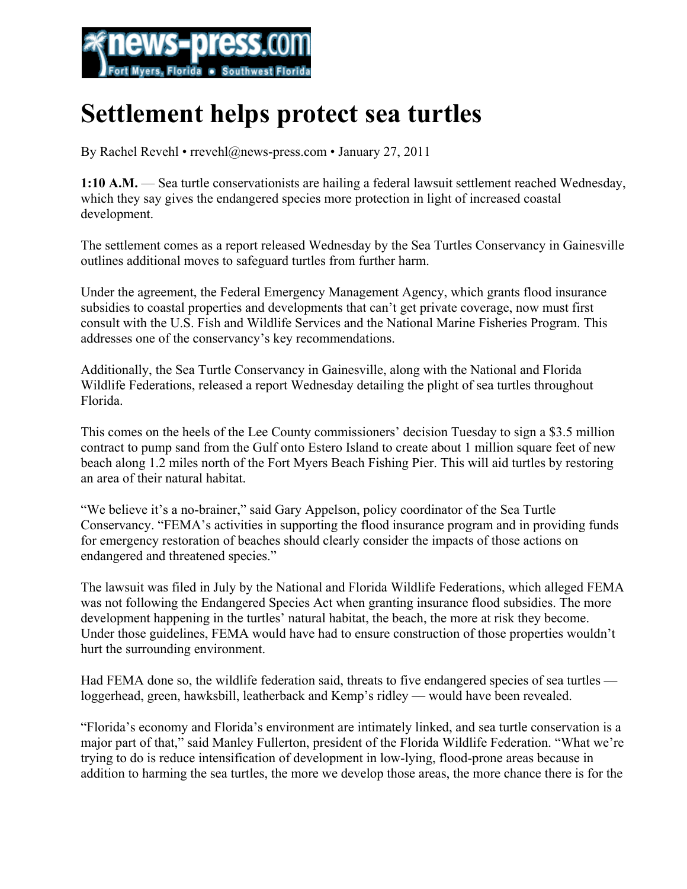

## **Settlement helps protect sea turtles**

By Rachel Revehl • rrevehl@news-press.com • January 27, 2011

**1:10 A.M.** — Sea turtle conservationists are hailing a federal lawsuit settlement reached Wednesday, which they say gives the endangered species more protection in light of increased coastal development.

The settlement comes as a report released Wednesday by the Sea Turtles Conservancy in Gainesville outlines additional moves to safeguard turtles from further harm.

Under the agreement, the Federal Emergency Management Agency, which grants flood insurance subsidies to coastal properties and developments that can't get private coverage, now must first consult with the U.S. Fish and Wildlife Services and the National Marine Fisheries Program. This addresses one of the conservancy's key recommendations.

Additionally, the Sea Turtle Conservancy in Gainesville, along with the National and Florida Wildlife Federations, released a report Wednesday detailing the plight of sea turtles throughout Florida.

This comes on the heels of the Lee County commissioners' decision Tuesday to sign a \$3.5 million contract to pump sand from the Gulf onto Estero Island to create about 1 million square feet of new beach along 1.2 miles north of the Fort Myers Beach Fishing Pier. This will aid turtles by restoring an area of their natural habitat.

"We believe it's a no-brainer," said Gary Appelson, policy coordinator of the Sea Turtle Conservancy. "FEMA's activities in supporting the flood insurance program and in providing funds for emergency restoration of beaches should clearly consider the impacts of those actions on endangered and threatened species."

The lawsuit was filed in July by the National and Florida Wildlife Federations, which alleged FEMA was not following the Endangered Species Act when granting insurance flood subsidies. The more development happening in the turtles' natural habitat, the beach, the more at risk they become. Under those guidelines, FEMA would have had to ensure construction of those properties wouldn't hurt the surrounding environment.

Had FEMA done so, the wildlife federation said, threats to five endangered species of sea turtles loggerhead, green, hawksbill, leatherback and Kemp's ridley — would have been revealed.

"Florida's economy and Florida's environment are intimately linked, and sea turtle conservation is a major part of that," said Manley Fullerton, president of the Florida Wildlife Federation. "What we're trying to do is reduce intensification of development in low-lying, flood-prone areas because in addition to harming the sea turtles, the more we develop those areas, the more chance there is for the